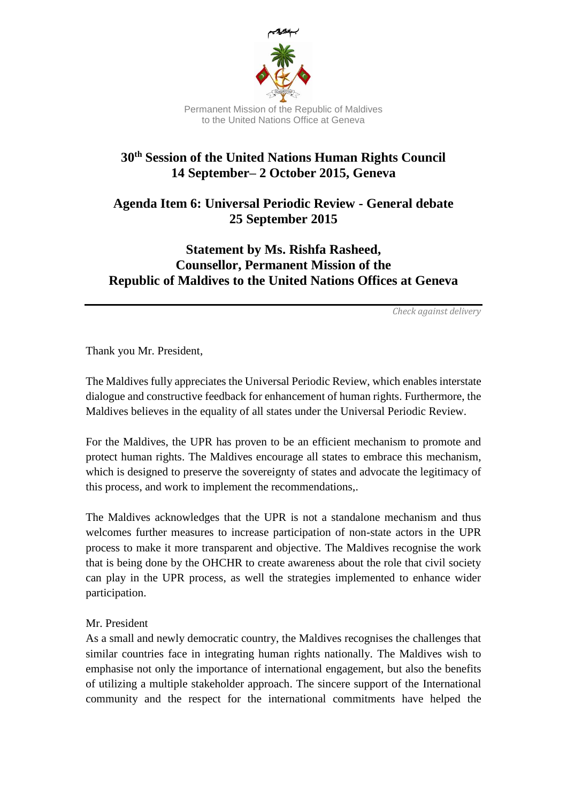

## **30th Session of the United Nations Human Rights Council 14 September– 2 October 2015, Geneva**

**Agenda Item 6: Universal Periodic Review - General debate 25 September 2015**

## **Statement by Ms. Rishfa Rasheed, Counsellor, Permanent Mission of the Republic of Maldives to the United Nations Offices at Geneva**

*Check against delivery*

Thank you Mr. President,

The Maldives fully appreciates the Universal Periodic Review, which enables interstate dialogue and constructive feedback for enhancement of human rights. Furthermore, the Maldives believes in the equality of all states under the Universal Periodic Review.

For the Maldives, the UPR has proven to be an efficient mechanism to promote and protect human rights. The Maldives encourage all states to embrace this mechanism, which is designed to preserve the sovereignty of states and advocate the legitimacy of this process, and work to implement the recommendations,.

The Maldives acknowledges that the UPR is not a standalone mechanism and thus welcomes further measures to increase participation of non-state actors in the UPR process to make it more transparent and objective. The Maldives recognise the work that is being done by the OHCHR to create awareness about the role that civil society can play in the UPR process, as well the strategies implemented to enhance wider participation.

## Mr. President

As a small and newly democratic country, the Maldives recognises the challenges that similar countries face in integrating human rights nationally. The Maldives wish to emphasise not only the importance of international engagement, but also the benefits of utilizing a multiple stakeholder approach. The sincere support of the International community and the respect for the international commitments have helped the